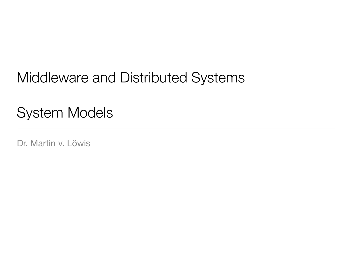## Middleware and Distributed Systems

# System Models

Dr. Martin v. Löwis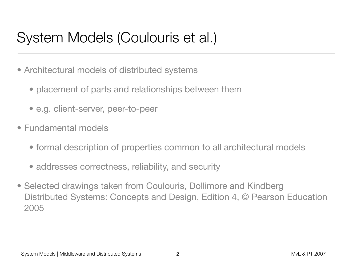# System Models (Coulouris et al.)

- Architectural models of distributed systems
	- placement of parts and relationships between them
	- e.g. client-server, peer-to-peer
- Fundamental models
	- formal description of properties common to all architectural models
	- addresses correctness, reliability, and security
- Selected drawings taken from Coulouris, Dollimore and Kindberg Distributed Systems: Concepts and Design, Edition 4, © Pearson Education 2005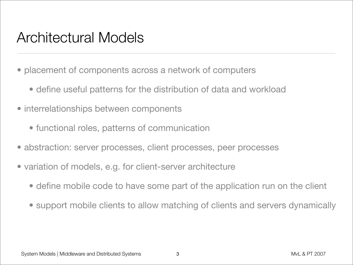#### Architectural Models

- placement of components across a network of computers
	- define useful patterns for the distribution of data and workload
- interrelationships between components
	- functional roles, patterns of communication
- abstraction: server processes, client processes, peer processes
- variation of models, e.g. for client-server architecture
	- define mobile code to have some part of the application run on the client
	- support mobile clients to allow matching of clients and servers dynamically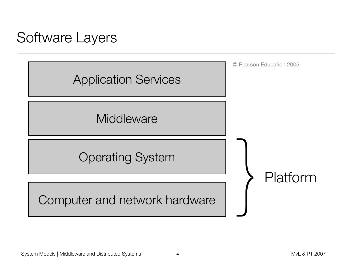## Software Layers

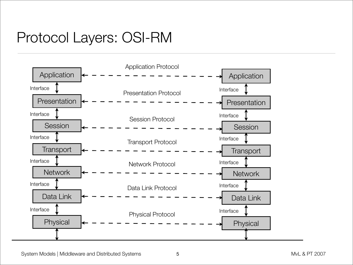# Protocol Layers: OSI-RM

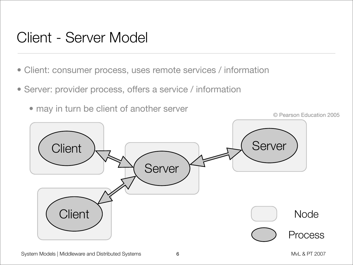#### Client - Server Model

- Client: consumer process, uses remote services / information
- Server: provider process, offers a service / information
	- may in turn be client of another server

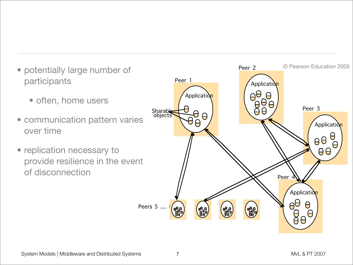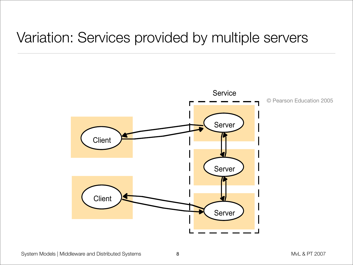#### Variation: Services provided by multiple servers

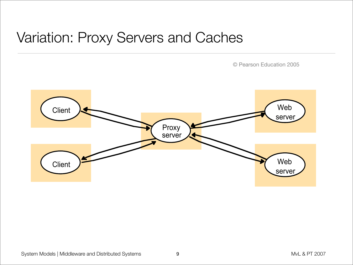#### Variation: Proxy Servers and Caches

© Pearson Education 2005

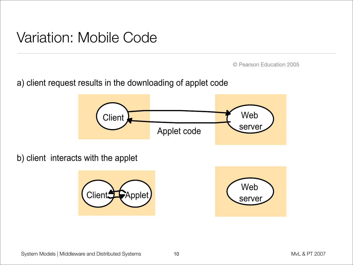#### Variation: Mobile Code

© Pearson Education 2005

a) client request results in the downloading of applet code



b) client interacts with the applet



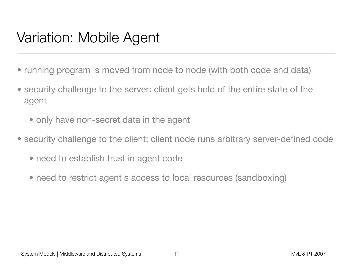## Variation: Mobile Agent

- running program is moved from node to node (with both code and data)
- security challenge to the server: client gets hold of the entire state of the agent
	- only have non-secret data in the agent
- security challenge to the client: client node runs arbitrary server-defined code
	- need to establish trust in agent code
	- need to restrict agent's access to local resources (sandboxing)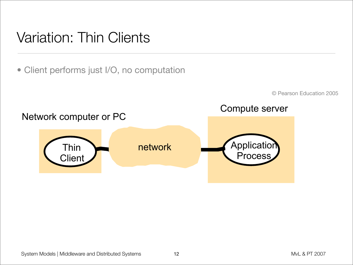## Variation: Thin Clients

• Client performs just I/O, no computation

© Pearson Education 2005

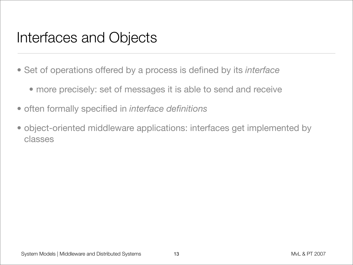#### Interfaces and Objects

- Set of operations offered by a process is defined by its *interface*
	- more precisely: set of messages it is able to send and receive
- often formally specified in *interface definitions*
- object-oriented middleware applications: interfaces get implemented by classes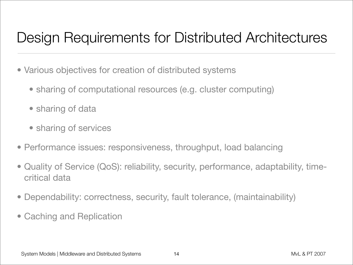# Design Requirements for Distributed Architectures

- Various objectives for creation of distributed systems
	- sharing of computational resources (e.g. cluster computing)
	- sharing of data
	- sharing of services
- Performance issues: responsiveness, throughput, load balancing
- Quality of Service (QoS): reliability, security, performance, adaptability, timecritical data
- Dependability: correctness, security, fault tolerance, (maintainability)
- Caching and Replication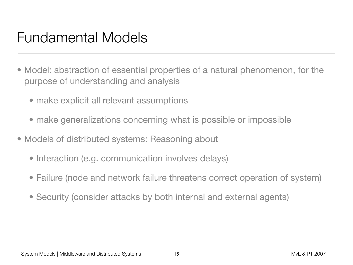#### Fundamental Models

- Model: abstraction of essential properties of a natural phenomenon, for the purpose of understanding and analysis
	- make explicit all relevant assumptions
	- make generalizations concerning what is possible or impossible
- Models of distributed systems: Reasoning about
	- Interaction (e.g. communication involves delays)
	- Failure (node and network failure threatens correct operation of system)
	- Security (consider attacks by both internal and external agents)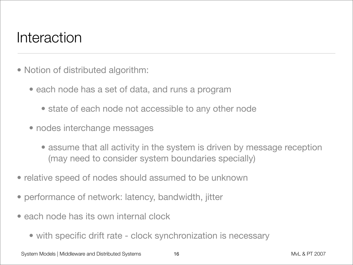## Interaction

- Notion of distributed algorithm:
	- each node has a set of data, and runs a program
		- state of each node not accessible to any other node
	- nodes interchange messages
		- assume that all activity in the system is driven by message reception (may need to consider system boundaries specially)
- relative speed of nodes should assumed to be unknown
- performance of network: latency, bandwidth, jitter
- each node has its own internal clock
	- with specific drift rate clock synchronization is necessary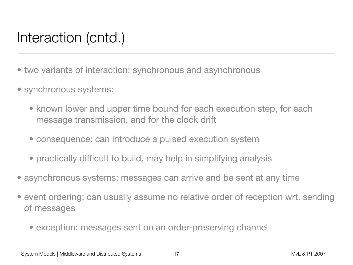# Interaction (cntd.)

- two variants of interaction: synchronous and asynchronous
- synchronous systems:
	- known lower and upper time bound for each execution step, for each message transmission, and for the clock drift
	- consequence: can introduce a pulsed execution system
	- practically difficult to build, may help in simplifying analysis
- asynchronous systems: messages can arrive and be sent at any time
- event ordering: can usually assume no relative order of reception wrt. sending of messages
	- exception: messages sent on an order-preserving channel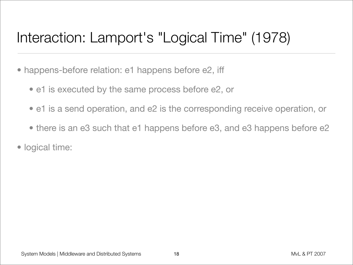# Interaction: Lamport's "Logical Time" (1978)

- happens-before relation: e1 happens before e2, iff
	- e1 is executed by the same process before e2, or
	- e1 is a send operation, and e2 is the corresponding receive operation, or
	- there is an e3 such that e1 happens before e3, and e3 happens before e2
- logical time: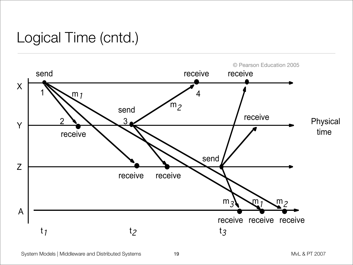# Logical Time (cntd.)

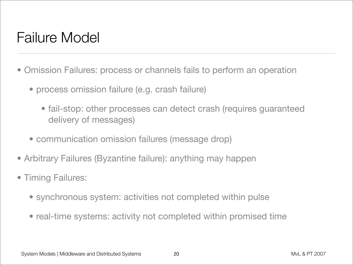# Failure Model

- Omission Failures: process or channels fails to perform an operation
	- process omission failure (e.g. crash failure)
		- fail-stop: other processes can detect crash (requires guaranteed delivery of messages)
	- communication omission failures (message drop)
- Arbitrary Failures (Byzantine failure): anything may happen
- Timing Failures:
	- synchronous system: activities not completed within pulse
	- real-time systems: activity not completed within promised time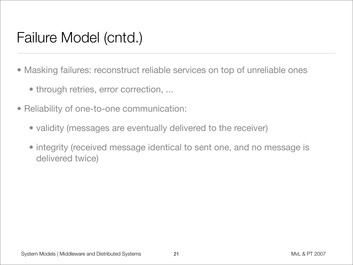# Failure Model (cntd.)

- Masking failures: reconstruct reliable services on top of unreliable ones
	- through retries, error correction, ...
- Reliability of one-to-one communication:
	- validity (messages are eventually delivered to the receiver)
	- integrity (received message identical to sent one, and no message is delivered twice)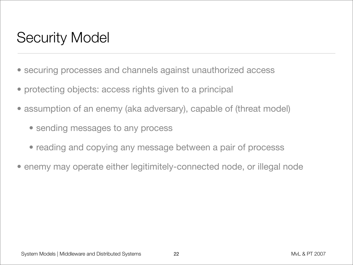# Security Model

- securing processes and channels against unauthorized access
- protecting objects: access rights given to a principal
- assumption of an enemy (aka adversary), capable of (threat model)
	- sending messages to any process
	- reading and copying any message between a pair of processs
- enemy may operate either legitimitely-connected node, or illegal node